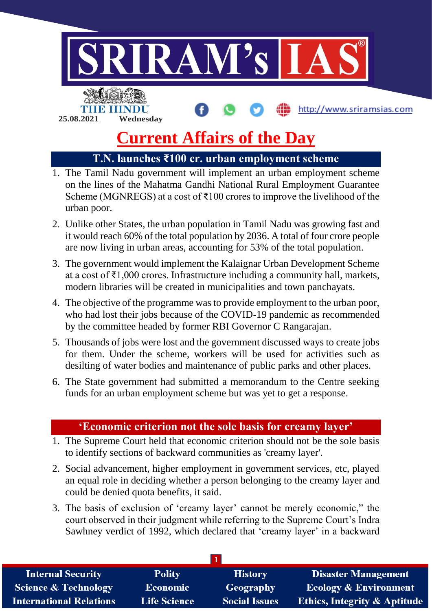

# **Current Affairs of the Day**

# **T.N. launches ₹100 cr. urban employment scheme**

- 1. The Tamil Nadu government will implement an urban employment scheme on the lines of the Mahatma Gandhi National Rural Employment Guarantee Scheme (MGNREGS) at a cost of ₹100 crores to improve the livelihood of the urban poor.
- 2. Unlike other States, the urban population in Tamil Nadu was growing fast and it would reach 60% of the total population by 2036. A total of four crore people are now living in urban areas, accounting for 53% of the total population.
- 3. The government would implement the Kalaignar Urban Development Scheme at a cost of ₹1,000 crores. Infrastructure including a community hall, markets, modern libraries will be created in municipalities and town panchayats.
- 4. The objective of the programme was to provide employment to the urban poor, who had lost their jobs because of the COVID-19 pandemic as recommended by the committee headed by former RBI Governor C Rangarajan.
- 5. Thousands of jobs were lost and the government discussed ways to create jobs for them. Under the scheme, workers will be used for activities such as desilting of water bodies and maintenance of public parks and other places.
- 6. The State government had submitted a memorandum to the Centre seeking funds for an urban employment scheme but was yet to get a response.

## **'Economic criterion not the sole basis for creamy layer'**

- 1. The Supreme Court held that economic criterion should not be the sole basis to identify sections of backward communities as 'creamy layer'.
- 2. Social advancement, higher employment in government services, etc, played an equal role in deciding whether a person belonging to the creamy layer and could be denied quota benefits, it said.
- 3. The basis of exclusion of 'creamy layer' cannot be merely economic," the court observed in their judgment while referring to the Supreme Court's Indra Sawhney verdict of 1992, which declared that 'creamy layer' in a backward

| <b>Internal Security</b>        | <b>Polity</b>       | <b>History</b>       | <b>Disaster Management</b>              |
|---------------------------------|---------------------|----------------------|-----------------------------------------|
| <b>Science &amp; Technology</b> | <b>Economic</b>     | Geography            | <b>Ecology &amp; Environment</b>        |
| <b>International Relations</b>  | <b>Life Science</b> | <b>Social Issues</b> | <b>Ethics, Integrity &amp; Aptitude</b> |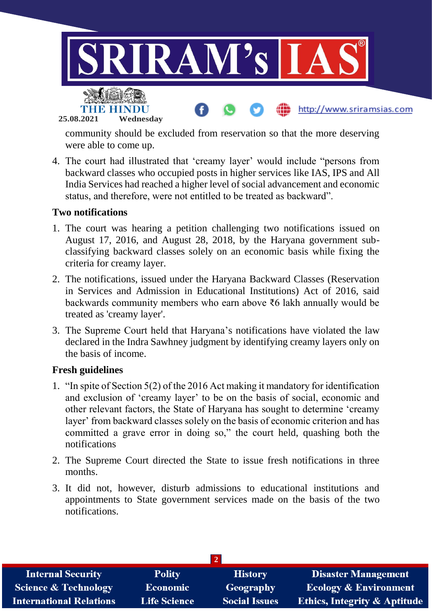

community should be excluded from reservation so that the more deserving were able to come up.

4. The court had illustrated that 'creamy layer' would include "persons from backward classes who occupied posts in higher services like IAS, IPS and All India Services had reached a higher level of social advancement and economic status, and therefore, were not entitled to be treated as backward".

## **Two notifications**

- 1. The court was hearing a petition challenging two notifications issued on August 17, 2016, and August 28, 2018, by the Haryana government subclassifying backward classes solely on an economic basis while fixing the criteria for creamy layer.
- 2. The notifications, issued under the Haryana Backward Classes (Reservation in Services and Admission in Educational Institutions) Act of 2016, said backwards community members who earn above ₹6 lakh annually would be treated as 'creamy layer'.
- 3. The Supreme Court held that Haryana's notifications have violated the law declared in the Indra Sawhney judgment by identifying creamy layers only on the basis of income.

#### **Fresh guidelines**

- 1. "In spite of Section 5(2) of the 2016 Act making it mandatory for identification and exclusion of 'creamy layer' to be on the basis of social, economic and other relevant factors, the State of Haryana has sought to determine 'creamy layer' from backward classes solely on the basis of economic criterion and has committed a grave error in doing so," the court held, quashing both the notifications
- 2. The Supreme Court directed the State to issue fresh notifications in three months.
- 3. It did not, however, disturb admissions to educational institutions and appointments to State government services made on the basis of the two notifications.

| <b>Internal Security</b>        | <b>Polity</b>       | <b>History</b>       | <b>Disaster Management</b>              |  |  |  |
|---------------------------------|---------------------|----------------------|-----------------------------------------|--|--|--|
| <b>Science &amp; Technology</b> | Economic            | Geography            | <b>Ecology &amp; Environment</b>        |  |  |  |
| <b>International Relations</b>  | <b>Life Science</b> | <b>Social Issues</b> | <b>Ethics, Integrity &amp; Aptitude</b> |  |  |  |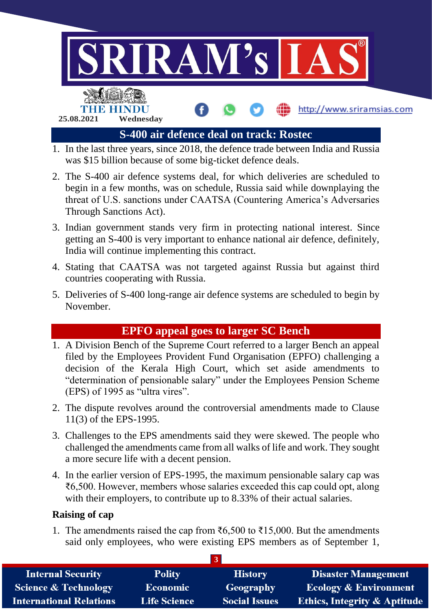

- begin in a few months, was on schedule, Russia said while downplaying the threat of U.S. sanctions under CAATSA (Countering America's Adversaries Through Sanctions Act).
- 3. Indian government stands very firm in protecting national interest. Since getting an S-400 is very important to enhance national air defence, definitely, India will continue implementing this contract.
- 4. Stating that CAATSA was not targeted against Russia but against third countries cooperating with Russia.
- 5. Deliveries of S-400 long-range air defence systems are scheduled to begin by November.

## **EPFO appeal goes to larger SC Bench**

- 1. A Division Bench of the Supreme Court referred to a larger Bench an appeal filed by the Employees Provident Fund Organisation (EPFO) challenging a decision of the Kerala High Court, which set aside amendments to "determination of pensionable salary" under the Employees Pension Scheme (EPS) of 1995 as "ultra vires".
- 2. The dispute revolves around the controversial amendments made to Clause 11(3) of the EPS-1995.
- 3. Challenges to the EPS amendments said they were skewed. The people who challenged the amendments came from all walks of life and work. They sought a more secure life with a decent pension.
- 4. In the earlier version of EPS-1995, the maximum pensionable salary cap was ₹6,500. However, members whose salaries exceeded this cap could opt, along with their employers, to contribute up to 8.33% of their actual salaries.

## **Raising of cap**

1. The amendments raised the cap from ₹6,500 to ₹15,000. But the amendments said only employees, who were existing EPS members as of September 1,

| <b>Internal Security</b>        | <b>Polity</b>       | <b>History</b>       | <b>Disaster Management</b>              |  |  |
|---------------------------------|---------------------|----------------------|-----------------------------------------|--|--|
| <b>Science &amp; Technology</b> | <b>Economic</b>     | Geography            | <b>Ecology &amp; Environment</b>        |  |  |
| <b>International Relations</b>  | <b>Life Science</b> | <b>Social Issues</b> | <b>Ethics, Integrity &amp; Aptitude</b> |  |  |